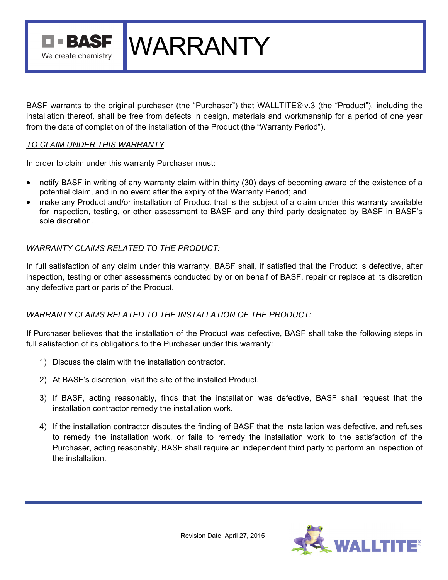TERASE We create chemistry

BASF warrants to the original purchaser (the "Purchaser") that WALLTITE® v.3 (the "Product"), including the installation thereof, shall be free from defects in design, materials and workmanship for a period of one year from the date of completion of the installation of the Product (the "Warranty Period").

**WARRANTY** 

### *TO CLAIM UNDER THIS WARRANTY*

In order to claim under this warranty Purchaser must:

- notify BASF in writing of any warranty claim within thirty (30) days of becoming aware of the existence of a potential claim, and in no event after the expiry of the Warranty Period; and
- make any Product and/or installation of Product that is the subject of a claim under this warranty available for inspection, testing, or other assessment to BASF and any third party designated by BASF in BASF's sole discretion.

## *WARRANTY CLAIMS RELATED TO THE PRODUCT:*

In full satisfaction of any claim under this warranty, BASF shall, if satisfied that the Product is defective, after inspection, testing or other assessments conducted by or on behalf of BASF, repair or replace at its discretion any defective part or parts of the Product.

# *WARRANTY CLAIMS RELATED TO THE INSTALLATION OF THE PRODUCT:*

If Purchaser believes that the installation of the Product was defective, BASF shall take the following steps in full satisfaction of its obligations to the Purchaser under this warranty:

- 1) Discuss the claim with the installation contractor.
- 2) At BASF's discretion, visit the site of the installed Product.
- 3) If BASF, acting reasonably, finds that the installation was defective, BASF shall request that the installation contractor remedy the installation work.
- 4) If the installation contractor disputes the finding of BASF that the installation was defective, and refuses to remedy the installation work, or fails to remedy the installation work to the satisfaction of the Purchaser, acting reasonably, BASF shall require an independent third party to perform an inspection of the installation.

Revision Date: April 27, 2015

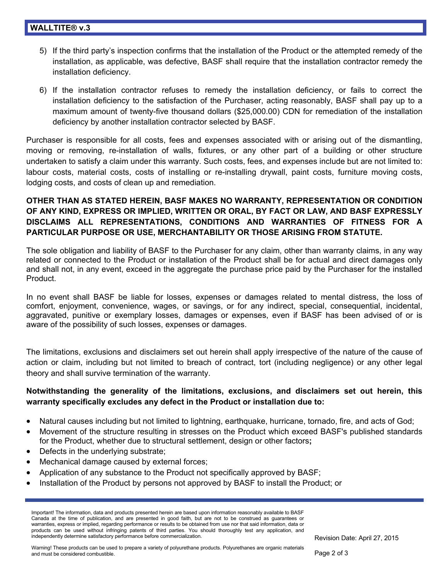- 5) If the third party's inspection confirms that the installation of the Product or the attempted remedy of the installation, as applicable, was defective, BASF shall require that the installation contractor remedy the installation deficiency.
- 6) If the installation contractor refuses to remedy the installation deficiency, or fails to correct the installation deficiency to the satisfaction of the Purchaser, acting reasonably, BASF shall pay up to a maximum amount of twenty-five thousand dollars (\$25,000.00) CDN for remediation of the installation deficiency by another installation contractor selected by BASF.

Purchaser is responsible for all costs, fees and expenses associated with or arising out of the dismantling, moving or removing, re-installation of walls, fixtures, or any other part of a building or other structure undertaken to satisfy a claim under this warranty. Such costs, fees, and expenses include but are not limited to: labour costs, material costs, costs of installing or re-installing drywall, paint costs, furniture moving costs, lodging costs, and costs of clean up and remediation.

# **OTHER THAN AS STATED HEREIN, BASF MAKES NO WARRANTY, REPRESENTATION OR CONDITION OF ANY KIND, EXPRESS OR IMPLIED, WRITTEN OR ORAL, BY FACT OR LAW, AND BASF EXPRESSLY DISCLAIMS ALL REPRESENTATIONS, CONDITIONS AND WARRANTIES OF FITNESS FOR A PARTICULAR PURPOSE OR USE, MERCHANTABILITY OR THOSE ARISING FROM STATUTE.**

The sole obligation and liability of BASF to the Purchaser for any claim, other than warranty claims, in any way related or connected to the Product or installation of the Product shall be for actual and direct damages only and shall not, in any event, exceed in the aggregate the purchase price paid by the Purchaser for the installed Product.

In no event shall BASF be liable for losses, expenses or damages related to mental distress, the loss of comfort, enjoyment, convenience, wages, or savings, or for any indirect, special, consequential, incidental, aggravated, punitive or exemplary losses, damages or expenses, even if BASF has been advised of or is aware of the possibility of such losses, expenses or damages.

The limitations, exclusions and disclaimers set out herein shall apply irrespective of the nature of the cause of action or claim, including but not limited to breach of contract, tort (including negligence) or any other legal theory and shall survive termination of the warranty.

# **Notwithstanding the generality of the limitations, exclusions, and disclaimers set out herein, this warranty specifically excludes any defect in the Product or installation due to:**

- Natural causes including but not limited to lightning, earthquake, hurricane, tornado, fire, and acts of God;
- Movement of the structure resulting in stresses on the Product which exceed BASF's published standards for the Product, whether due to structural settlement, design or other factors**;**
- Defects in the underlying substrate;
- Mechanical damage caused by external forces;
- Application of any substance to the Product not specifically approved by BASF;
- Installation of the Product by persons not approved by BASF to install the Product; or

Important! The information, data and products presented herein are based upon information reasonably available to BASF Canada at the time of publication, and are presented in good faith, but are not to be construed as guarantees or warranties, express or implied, regarding performance or results to be obtained from use nor that said information, data or products can be used without infringing patents of third parties. You should thoroughly test any application, and independently determine satisfactory performance before commercialization.